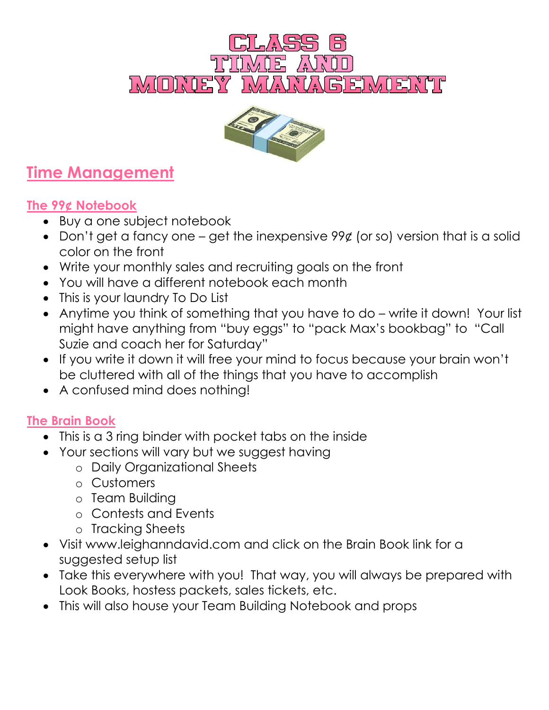



## **Time Management**

### **The 99¢ Notebook**

- Buy a one subject notebook
- Don't get a fancy one get the inexpensive  $99¢$  (or so) version that is a solid color on the front
- Write your monthly sales and recruiting goals on the front
- You will have a different notebook each month
- This is your laundry To Do List
- Anytime you think of something that you have to do write it down! Your list might have anything from "buy eggs" to "pack Max's bookbag" to "Call Suzie and coach her for Saturday"
- If you write it down it will free your mind to focus because your brain won't be cluttered with all of the things that you have to accomplish
- A confused mind does nothing!

## **The Brain Book**

- This is a 3 ring binder with pocket tabs on the inside
- Your sections will vary but we suggest having
	- o Daily Organizational Sheets
	- o Customers
	- o Team Building
	- o Contests and Events
	- o Tracking Sheets
- Visit www.leighanndavid.com and click on the Brain Book link for a suggested setup list
- Take this everywhere with you! That way, you will always be prepared with Look Books, hostess packets, sales tickets, etc.
- This will also house your Team Building Notebook and props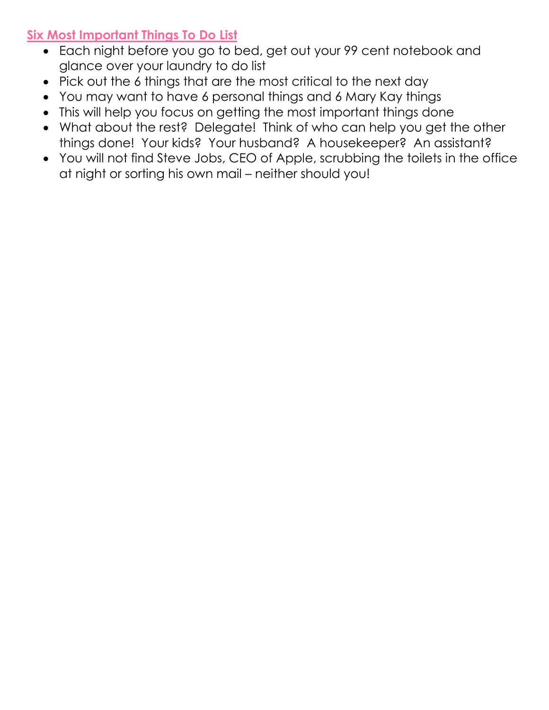#### **Six Most Important Things To Do List**

- Each night before you go to bed, get out your 99 cent notebook and glance over your laundry to do list
- Pick out the 6 things that are the most critical to the next day
- You may want to have 6 personal things and 6 Mary Kay things
- This will help you focus on getting the most important things done
- What about the rest? Delegate! Think of who can help you get the other things done! Your kids? Your husband? A housekeeper? An assistant?
- You will not find Steve Jobs, CEO of Apple, scrubbing the toilets in the office at night or sorting his own mail – neither should you!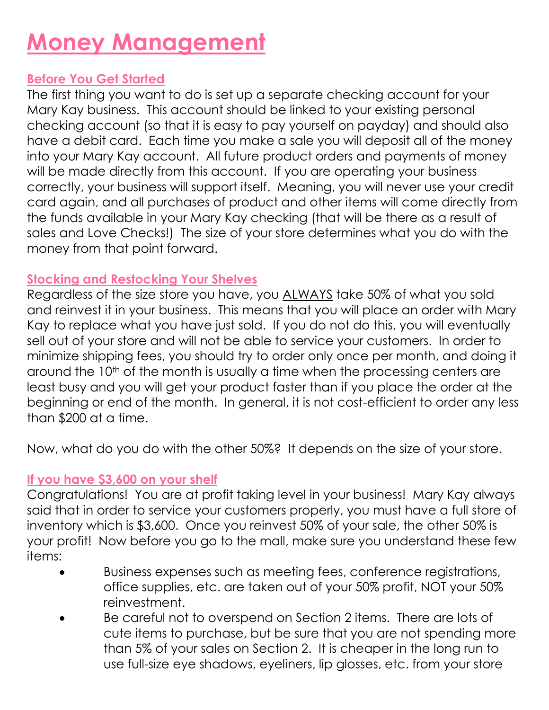## **Money Management**

#### **Before You Get Started**

The first thing you want to do is set up a separate checking account for your Mary Kay business. This account should be linked to your existing personal checking account (so that it is easy to pay yourself on payday) and should also have a debit card. Each time you make a sale you will deposit all of the money into your Mary Kay account. All future product orders and payments of money will be made directly from this account. If you are operating your business correctly, your business will support itself. Meaning, you will never use your credit card again, and all purchases of product and other items will come directly from the funds available in your Mary Kay checking (that will be there as a result of sales and Love Checks!) The size of your store determines what you do with the money from that point forward.

#### **Stocking and Restocking Your Shelves**

Regardless of the size store you have, you ALWAYS take 50% of what you sold and reinvest it in your business. This means that you will place an order with Mary Kay to replace what you have just sold. If you do not do this, you will eventually sell out of your store and will not be able to service your customers. In order to minimize shipping fees, you should try to order only once per month, and doing it around the 10<sup>th</sup> of the month is usually a time when the processing centers are least busy and you will get your product faster than if you place the order at the beginning or end of the month. In general, it is not cost-efficient to order any less than \$200 at a time.

Now, what do you do with the other 50%? It depends on the size of your store.

#### **If you have \$3,600 on your shelf**

Congratulations! You are at profit taking level in your business! Mary Kay always said that in order to service your customers properly, you must have a full store of inventory which is \$3,600. Once you reinvest 50% of your sale, the other 50% is your profit! Now before you go to the mall, make sure you understand these few items:

- Business expenses such as meeting fees, conference registrations, office supplies, etc. are taken out of your 50% profit, NOT your 50% reinvestment.
- Be careful not to overspend on Section 2 items. There are lots of cute items to purchase, but be sure that you are not spending more than 5% of your sales on Section 2. It is cheaper in the long run to use full-size eye shadows, eyeliners, lip glosses, etc. from your store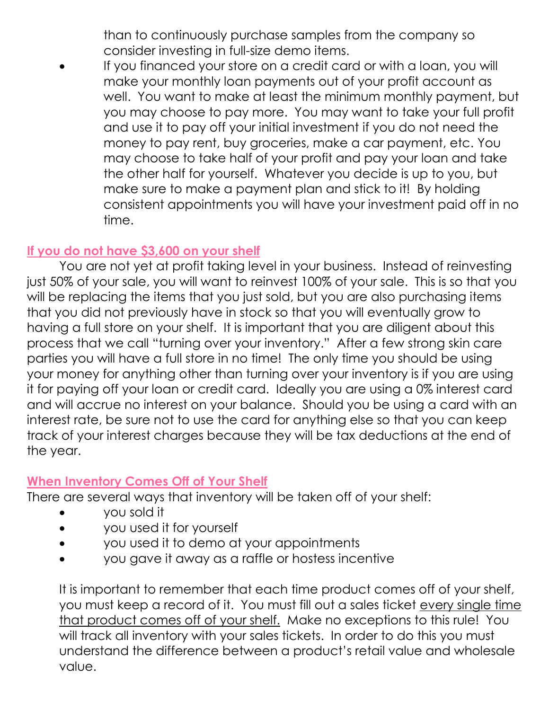than to continuously purchase samples from the company so consider investing in full-size demo items.

 If you financed your store on a credit card or with a loan, you will make your monthly loan payments out of your profit account as well. You want to make at least the minimum monthly payment, but you may choose to pay more. You may want to take your full profit and use it to pay off your initial investment if you do not need the money to pay rent, buy groceries, make a car payment, etc. You may choose to take half of your profit and pay your loan and take the other half for yourself. Whatever you decide is up to you, but make sure to make a payment plan and stick to it! By holding consistent appointments you will have your investment paid off in no time.

#### **If you do not have \$3,600 on your shelf**

You are not yet at profit taking level in your business. Instead of reinvesting just 50% of your sale, you will want to reinvest 100% of your sale. This is so that you will be replacing the items that you just sold, but you are also purchasing items that you did not previously have in stock so that you will eventually grow to having a full store on your shelf. It is important that you are diligent about this process that we call "turning over your inventory." After a few strong skin care parties you will have a full store in no time! The only time you should be using your money for anything other than turning over your inventory is if you are using it for paying off your loan or credit card. Ideally you are using a 0% interest card and will accrue no interest on your balance. Should you be using a card with an interest rate, be sure not to use the card for anything else so that you can keep track of your interest charges because they will be tax deductions at the end of the year.

#### **When Inventory Comes Off of Your Shelf**

There are several ways that inventory will be taken off of your shelf:

- you sold it
- you used it for yourself
- you used it to demo at your appointments
- you gave it away as a raffle or hostess incentive

It is important to remember that each time product comes off of your shelf, you must keep a record of it. You must fill out a sales ticket every single time that product comes off of your shelf. Make no exceptions to this rule! You will track all inventory with your sales tickets. In order to do this you must understand the difference between a product's retail value and wholesale value.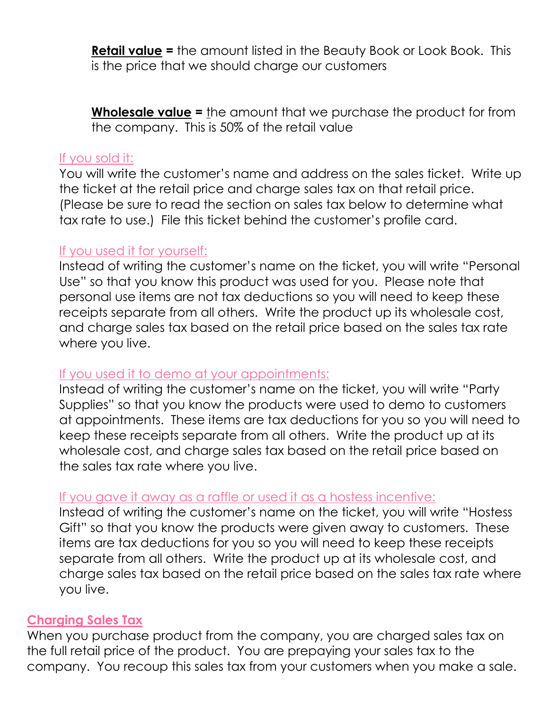**Retail value =** the amount listed in the Beauty Book or Look Book. This is the price that we should charge our customers

**Wholesale value =** the amount that we purchase the product for from the company. This is 50% of the retail value

#### If you sold it:

You will write the customer's name and address on the sales ticket. Write up the ticket at the retail price and charge sales tax on that retail price. (Please be sure to read the section on sales tax below to determine what tax rate to use.) File this ticket behind the customer's profile card.

#### If you used it for yourself:

Instead of writing the customer's name on the ticket, you will write "Personal Use" so that you know this product was used for you. Please note that personal use items are not tax deductions so you will need to keep these receipts separate from all others. Write the product up its wholesale cost, and charge sales tax based on the retail price based on the sales tax rate where you live.

#### If you used it to demo at your appointments:

Instead of writing the customer's name on the ticket, you will write "Party Supplies" so that you know the products were used to demo to customers at appointments. These items are tax deductions for you so you will need to keep these receipts separate from all others. Write the product up at its wholesale cost, and charge sales tax based on the retail price based on the sales tax rate where you live.

#### If you gave it away as a raffle or used it as a hostess incentive:

Instead of writing the customer's name on the ticket, you will write "Hostess Gift" so that you know the products were given away to customers. These items are tax deductions for you so you will need to keep these receipts separate from all others. Write the product up at its wholesale cost, and charge sales tax based on the retail price based on the sales tax rate where you live.

#### **Charging Sales Tax**

When you purchase product from the company, you are charged sales tax on the full retail price of the product. You are prepaying your sales tax to the company. You recoup this sales tax from your customers when you make a sale.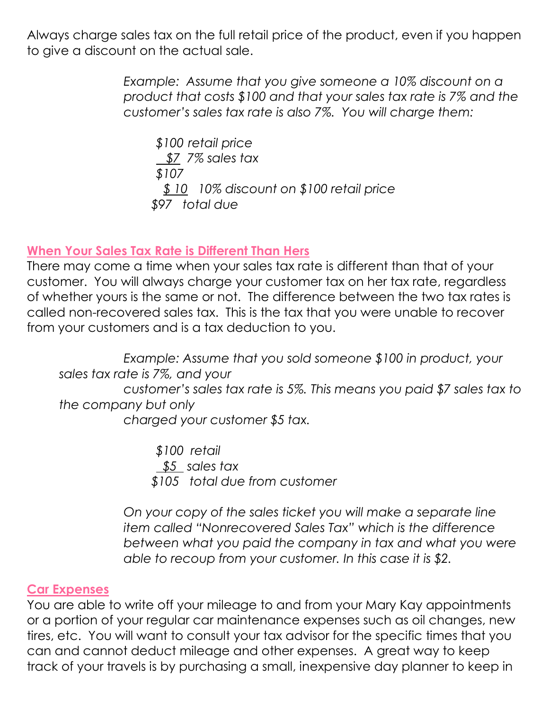Always charge sales tax on the full retail price of the product, even if you happen to give a discount on the actual sale.

> *Example: Assume that you give someone a 10% discount on a product that costs \$100 and that your sales tax rate is 7% and the customer's sales tax rate is also 7%. You will charge them:*

*\$100 retail price \$7 7% sales tax \$107 \$ 10 10% discount on \$100 retail price \$97 total due*

#### **When Your Sales Tax Rate is Different Than Hers**

There may come a time when your sales tax rate is different than that of your customer. You will always charge your customer tax on her tax rate, regardless of whether yours is the same or not. The difference between the two tax rates is called non-recovered sales tax. This is the tax that you were unable to recover from your customers and is a tax deduction to you.

*Example: Assume that you sold someone \$100 in product, your sales tax rate is 7%, and your customer's sales tax rate is 5%. This means you paid \$7 sales tax to the company but only charged your customer \$5 tax.*

> *\$100 retail \$5 sales tax \$105 total due from customer*

*On your copy of the sales ticket you will make a separate line item called "Nonrecovered Sales Tax" which is the difference between what you paid the company in tax and what you were able to recoup from your customer. In this case it is \$2.* 

#### **Car Expenses**

You are able to write off your mileage to and from your Mary Kay appointments or a portion of your regular car maintenance expenses such as oil changes, new tires, etc. You will want to consult your tax advisor for the specific times that you can and cannot deduct mileage and other expenses. A great way to keep track of your travels is by purchasing a small, inexpensive day planner to keep in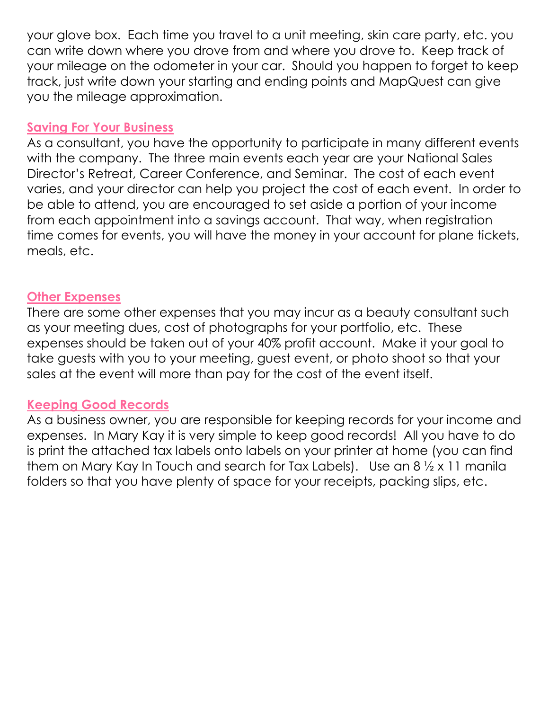your glove box. Each time you travel to a unit meeting, skin care party, etc. you can write down where you drove from and where you drove to. Keep track of your mileage on the odometer in your car. Should you happen to forget to keep track, just write down your starting and ending points and MapQuest can give you the mileage approximation.

#### **Saving For Your Business**

As a consultant, you have the opportunity to participate in many different events with the company. The three main events each year are your National Sales Director's Retreat, Career Conference, and Seminar. The cost of each event varies, and your director can help you project the cost of each event. In order to be able to attend, you are encouraged to set aside a portion of your income from each appointment into a savings account. That way, when registration time comes for events, you will have the money in your account for plane tickets, meals, etc.

#### **Other Expenses**

There are some other expenses that you may incur as a beauty consultant such as your meeting dues, cost of photographs for your portfolio, etc. These expenses should be taken out of your 40% profit account. Make it your goal to take guests with you to your meeting, guest event, or photo shoot so that your sales at the event will more than pay for the cost of the event itself.

#### **Keeping Good Records**

As a business owner, you are responsible for keeping records for your income and expenses. In Mary Kay it is very simple to keep good records! All you have to do is print the attached tax labels onto labels on your printer at home (you can find them on Mary Kay In Touch and search for Tax Labels). Use an 8 ½ x 11 manila folders so that you have plenty of space for your receipts, packing slips, etc.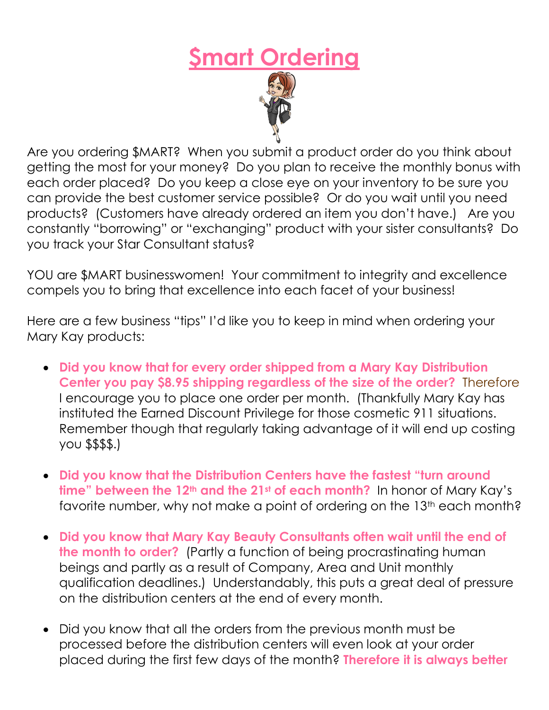# **\$mart Ordering**



Are you ordering \$MART? When you submit a product order do you think about getting the most for your money? Do you plan to receive the monthly bonus with each order placed? Do you keep a close eye on your inventory to be sure you can provide the best customer service possible? Or do you wait until you need products? (Customers have already ordered an item you don't have.) Are you constantly "borrowing" or "exchanging" product with your sister consultants? Do you track your Star Consultant status?

YOU are \$MART businesswomen! Your commitment to integrity and excellence compels you to bring that excellence into each facet of your business!

Here are a few business "tips" I'd like you to keep in mind when ordering your Mary Kay products:

- **Did you know that for every order shipped from a Mary Kay Distribution Center you pay \$8.95 shipping regardless of the size of the order?** Therefore I encourage you to place one order per month. (Thankfully Mary Kay has instituted the Earned Discount Privilege for those cosmetic 911 situations. Remember though that regularly taking advantage of it will end up costing you \$\$\$\$.)
- **Did you know that the Distribution Centers have the fastest "turn around time" between the 12th and the 21st of each month?** In honor of Mary Kay's favorite number, why not make a point of ordering on the 13<sup>th</sup> each month?
- **Did you know that Mary Kay Beauty Consultants often wait until the end of the month to order?** (Partly a function of being procrastinating human beings and partly as a result of Company, Area and Unit monthly qualification deadlines.) Understandably, this puts a great deal of pressure on the distribution centers at the end of every month.
- Did you know that all the orders from the previous month must be processed before the distribution centers will even look at your order placed during the first few days of the month? **Therefore it is always better**